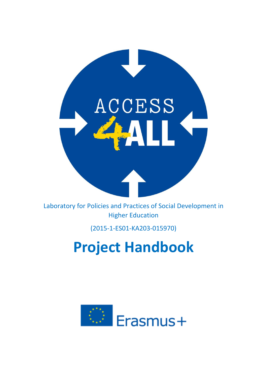

Laboratory for Policies and Practices of Social Development in Higher Education

# (2015‐1‐ES01‐KA203‐015970)

# **Project Handbook**

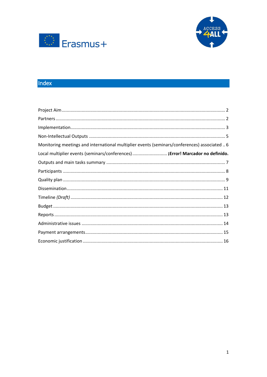



# Index

| Monitoring meetings and international multiplier events (seminars/conferences) associated  6 |
|----------------------------------------------------------------------------------------------|
| Local multiplier events (seminars/conferences) ¡Error! Marcador no definido.                 |
|                                                                                              |
|                                                                                              |
|                                                                                              |
|                                                                                              |
|                                                                                              |
|                                                                                              |
|                                                                                              |
|                                                                                              |
|                                                                                              |
|                                                                                              |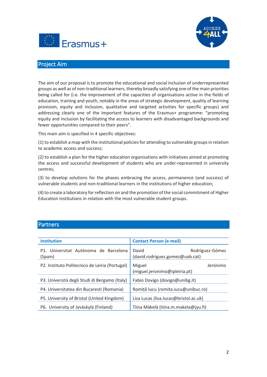



# <span id="page-2-0"></span>Project Aim

The aim of our proposal is to promote the educational and social inclusion of underrepresented groups as well as of non-traditional learners, thereby broadly satisfying one of the main priorities being called for (i.e. the improvement of the capacities of organisations active in the fields of education, training and youth, notably in the areas of strategic development, quality of learning provision, equity and inclusion, qualitative and targeted activities for specific groups) and addressing clearly one of the important features of the Erasmus+ programme: "promoting equity and inclusion by facilitating the access to learners with disadvantaged backgrounds and fewer opportunities compared to their peers".

This main aim is specified in 4 specific objectives:

(1) to establish a map with the institutional policies for attending to vulnerable groups in relation to academic access and success;

(2) to establish a plan for the higher education organisations with initiatives aimed at promoting the access and successful development of students who are under-represented in university centres;

(3) to develop solutions for the phases embracing the access, permanence (and success) of vulnerable students and non-traditional learners in the institutions of higher education;

(4) to create a laboratory for reflection on and the promotion of the social commitment of Higher Education institutions in relation with the most vulnerable student groups.

## <span id="page-2-1"></span>Partners

| <b>Institution</b>                               | <b>Contact Person (e-mail)</b>                              |
|--------------------------------------------------|-------------------------------------------------------------|
| P1. Universitat Autònoma de Barcelona<br>(Spain) | David<br>Rodríguez-Gómez<br>(david.rodriguez.gomez@uab.cat) |
| P2. Instituto Politecnico de Leiria (Portugal)   | Jerónimo<br>Miguel<br>(miguel.jeronimo@ipleiria.pt)         |
| P3. Università degli Studi di Bergamo (Italy)    | Fabio Dovigo (dovigo@unibg.it)                              |
| P4. Universitatea din Bucaresti (Romania)        | Romiță lucu (romita.iucu@unibuc.ro)                         |
| P5. University of Bristol (United Kingdom)       | Lisa Lucas (lisa.lucas@bristol.ac.uk)                       |
| P6. University of Jyväskylä (Finland)            | Tiina Mäkelä (tiina.m.makela@jyu.fi)                        |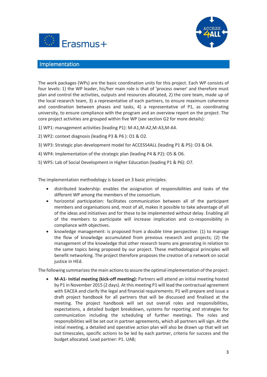



## <span id="page-3-0"></span>Implementation

The work packages (WPs) are the basic coordination units for this project. Each WP consists of four levels: 1) the WP leader, his/her main role is that of 'process owner' and therefore must plan and control the activities, outputs and resources allocated, 2) the core team, made up of the local research team, 3) a representative of each partners, to ensure maximum coherence and coordination between phases and tasks, 4) a representative of P1, as coordinating university, to ensure compliance with the program and an overview report on the project. The core project activities are grouped within five WP (see section G2 for more details):

- 1) WP1: management activities (leading P1): M-A1,M-A2,M-A3,M-A4.
- 2) WP2: context diagnosis (leading P3 & P6 ): O1 & O2.
- 3) WP3: Strategic plan development model for ACCESS4ALL (leading P1 & P5): O3 & O4.
- 4) WP4: Implementation of the strategic plan (leading P4 & P2): O5 & O6.
- 5) WP5: Lab of Social Development in Higher Education (leading P1 & P6): O7.

The implementation methodology is based on 3 basic principles:

- distributed leadership: enables the assignation of responsibilities and tasks of the different WP among the members of the consortium.
- horizontal participation: facilitates communication between all of the participant members and organisations and, most of all, makes it possible to take advantage of all of the ideas and initiatives and for these to be implemented without delay. Enabling all of the members to participate will increase implication and co-responsibility in compliance with objectives.
- knowledge management: is proposed from a double time perspective: (1) to manage the flow of knowledge accumulated from previous research and projects; (2) the management of the knowledge that other research teams are generating in relation to the same topics being proposed by our project. These methodological principles will benefit networking. The project therefore proposes the creation of a network on social justice in HEd.

The following summarizes the main actions to assure the optimal implementation of the project:

 **M-A1- Initial meeting (kick-off meeting):** Partners will attend an initial meeting hosted by P1 in November 2015 (2 days). At this meeting P1 will lead the contractual agreement with EACEA and clarify the legal and financial requirements. P1 will prepare and issue a draft project handbook for all partners that will be discussed and finalised at the meeting. The project handbook will set out overall roles and responsibilities, expectations, a detailed budget breakdown, systems for reporting and strategies for communication including the scheduling of further meetings. The roles and responsibilities will be set out in partner agreements, which all partners will sign. At the initial meeting, a detailed and operative action plan will also be drawn up that will set out timescales, specific actions to be led by each partner, criteria for success and the budget allocated. Lead partner: P1. UAB;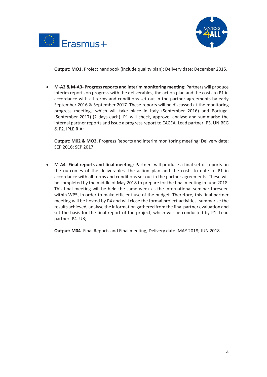



**Output: MO1**. Project handbook (include quality plan); Delivery date: December 2015.

 **M-A2 & M-A3- Progress reports and interim monitoring meeting**: Partners will produce interim reports on progress with the deliverables, the action plan and the costs to P1 in accordance with all terms and conditions set out in the partner agreements by early September 2016 & September 2017. These reports will be discussed at the monitoring progress meetings which will take place in Italy (September 2016) and Portugal (September 2017) (2 days each). P1 will check, approve, analyse and summarise the internal partner reports and issue a progress report to EACEA. Lead partner: P3. UNIBEG & P2. IPLEIRIA;

**Output: M02 & MO3**. Progress Reports and interim monitoring meeting; Delivery date: SEP 2016; SEP 2017.

 **M-A4- Final reports and final meeting**: Partners will produce a final set of reports on the outcomes of the deliverables, the action plan and the costs to date to P1 in accordance with all terms and conditions set out in the partner agreements. These will be completed by the middle of May 2018 to prepare for the final meeting in June 2018. This final meeting will be held the same week as the international seminar foreseen within WP5, in order to make efficient use of the budget. Therefore, this final partner meeting will be hosted by P4 and will close the formal project activities, summarise the results achieved, analyse the information gathered from the final partner evaluation and set the basis for the final report of the project, which will be conducted by P1. Lead partner: P4. UB;

**Output: M04**. Final Reports and Final meeting; Delivery date: MAY 2018; JUN 2018.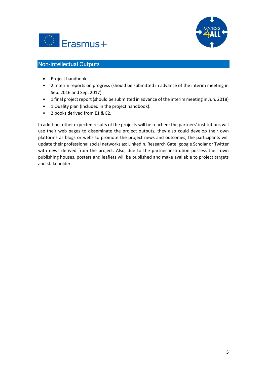



# <span id="page-5-0"></span>Non-Intellectual Outputs

- Project handbook
- 2 Interim reports on progress (should be submitted in advance of the interim meeting in Sep. 2016 and Sep. 2017)
- 1 final project report (should be submitted in advance of the interim meeting in Jun. 2018)
- 1 Quality plan (included in the project handbook).
- 2 books derived from E1 & E2.

In addition, other expected results of the projects will be reached: the partners' institutions will use their web pages to disseminate the project outputs, they also could develop their own platforms as blogs or webs to promote the project news and outcomes, the participants will update their professional social networks as: LinkedIn, Research Gate, google Scholar or Twitter with news derived from the project. Also, due to the partner institution possess their own publishing houses, posters and leaflets will be published and make available to project targets and stakeholders.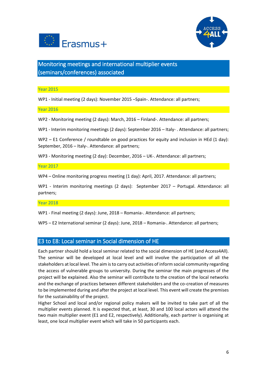



<span id="page-6-0"></span>Monitoring meetings and international multiplier events (seminars/conferences) associated

Year 2015

WP1 - Initial meeting (2 days): November 2015 –Spain-. Attendance: all partners;

Year 2016

WP2 - Monitoring meeting (2 days): March, 2016 – Finland-. Attendance: all partners;

WP1 - Interim monitoring meetings (2 days): September 2016 – Italy- . Attendance: all partners;

WP2 – E1 Conference / roundtable on good practices for equity and inclusion in HEd (1 day): September, 2016 – Italy-. Attendance: all partners;

WP3 - Monitoring meeting (2 day): December, 2016 – UK-. Attendance: all partners;

Year 2017

WP4 – Online monitoring progress meeting (1 day): April, 2017. Attendance: all partners;

WP1 - Interim monitoring meetings (2 days): September 2017 – Portugal. Attendance: all partners;

Year 2018

WP1 - Final meeting (2 days): June, 2018 – Romania-. Attendance: all partners;

WP5 – E2 International seminar (2 days): June, 2018 – Romania-. Attendance: all partners;

## E3 to E8: Local seminar in Social dimension of HE

Each partner should hold a local seminar related to the social dimension of HE (and Access4All). The seminar will be developed at local level and will involve the participation of all the stakeholders at local level. The aim is to carry out activities of inform social community regarding the access of vulnerable groups to university. During the seminar the main progresses of the project will be explained. Also the seminar will contribute to the creation of the local networks and the exchange of practices between different stakeholders and the co-creation of measures to be implemented during and after the project at local level. This event will create the premises for the sustainability of the project.

Higher School and local and/or regional policy makers will be invited to take part of all the multiplier events planned. It is expected that, at least, 30 and 100 local actors will attend the two main multiplier event (E1 and E2, respectively). Additionally, each partner is organising at least, one local multiplier event which will take in 50 participants each.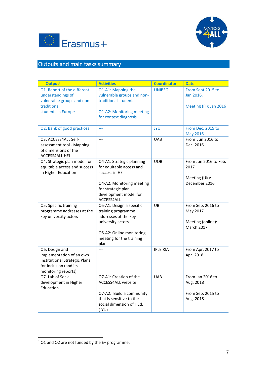



# <span id="page-7-0"></span>Outputs and main tasks summary

| Output <sup>1</sup>                                                                                                          | <b>Activities</b>                                                                                                                                                | <b>Coordinator</b> | <b>Date</b>                                                             |
|------------------------------------------------------------------------------------------------------------------------------|------------------------------------------------------------------------------------------------------------------------------------------------------------------|--------------------|-------------------------------------------------------------------------|
| O1. Report of the different<br>understandings of<br>vulnerable groups and non-<br>traditional<br>students in Europe          | O1-A1: Mapping the<br>vulnerable groups and non-<br>traditional students.<br><b>O1-A2: Monitoring meeting</b><br>for context diagnosis                           | <b>UNIBEG</b>      | From Sept 2015 to<br>Jan 2016.<br>Meeting (FI): Jan 2016                |
| O2. Bank of good practices                                                                                                   | ---                                                                                                                                                              | <b>JYU</b>         | From Dec. 2015 to<br>May 2016.                                          |
| O3. ACCESS4ALL Self-<br>assessment tool - Mapping<br>of dimensions of the<br><b>ACCESS4ALL HEI</b>                           | $\overline{a}$                                                                                                                                                   | <b>UAB</b>         | From Jun 2016 to<br>Dec. 2016                                           |
| O4. Strategic plan model for<br>equitable access and success<br>in Higher Education                                          | O4-A1: Strategic planning<br>for equitable access and<br>success in HE<br>O4-A2: Monitoring meeting<br>for strategic plan<br>development model for<br>ACCESS4ALL | <b>UOB</b>         | From Jun 2016 to Feb.<br>2017<br>Meeting (UK):<br>December 2016         |
| O5. Specific training<br>programme addresses at the<br>key university actors                                                 | O5-A1: Design a specific<br>training programme<br>addresses at the key<br>university actors<br>O5-A2: Online monitoring<br>meeting for the training<br>plan      | UB                 | From Sep. 2016 to<br>May 2017<br>Meeting (online):<br><b>March 2017</b> |
| O6. Design and<br>implementation of an own<br>Institutional Strategic Plans<br>for Inclusion (and its<br>monitoring reports) | $\overline{a}$                                                                                                                                                   | <b>IPLEIRIA</b>    | From Apr. 2017 to<br>Apr. 2018                                          |
| O7. Lab of Social<br>development in Higher<br>Education                                                                      | O7-A1: Creation of the<br><b>ACCESS4ALL website</b><br>O7-A2: Build a community<br>that is sensitive to the<br>social dimension of HEd.<br>(JYU)                 | <b>UAB</b>         | From Jan 2016 to<br>Aug. 2018<br>From Sep. 2015 to<br>Aug. 2018         |

**.** 

 $1$  O1 and O2 are not funded by the E+ programme.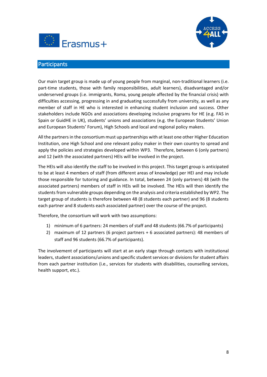



# <span id="page-8-0"></span>**Participants**

Our main target group is made up of young people from marginal, non-traditional learners (i.e. part-time students, those with family responsibilities, adult learners), disadvantaged and/or underserved groups (i.e. immigrants, Roma, young people affected by the financial crisis) with difficulties accessing, progressing in and graduating successfully from university, as well as any member of staff in HE who is interested in enhancing student inclusion and success. Other stakeholders include NGOs and associations developing inclusive programs for HE (e.g. FAS in Spain or GuidHE in UK), students' unions and associations (e.g. the European Students' Union and European Students' Forum), High Schools and local and regional policy makers.

All the partners in the consortium must up partnerships with at least one other Higher Education Institution, one High School and one relevant policy maker in their own country to spread and apply the policies and strategies developed within WP3. Therefore, between 6 (only partners) and 12 (with the associated partners) HEIs will be involved in the project.

The HEIs will also identify the staff to be involved in this project. This target group is anticipated to be at least 4 members of staff (from different areas of knowledge) per HEI and may include those responsible for tutoring and guidance. In total, between 24 (only partners) 48 (with the associated partners) members of staff in HEIs will be involved. The HEIs will then identify the students from vulnerable groups depending on the analysis and criteria established by WP2. The target group of students is therefore between 48 (8 students each partner) and 96 (8 students each partner and 8 students each associated partner) over the course of the project.

Therefore, the consortium will work with two assumptions:

- 1) minimum of 6 partners: 24 members of staff and 48 students (66.7% of participants)
- 2) maximum of 12 partners (6 project partners + 6 associated partners): 48 members of staff and 96 students (66.7% of participants).

The involvement of participants will start at an early stage through contacts with institutional leaders, student associations/unions and specific student services or divisions for student affairs from each partner institution (i.e., services for students with disabilities, counselling services, health support, etc.).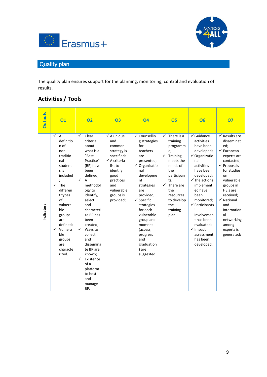



# <span id="page-9-0"></span>Quality plan

The quality plan ensures support for the planning, monitoring, control and evaluation of results.

# **Activities / Tools**

| <b>Outputs</b> | 01                                                                                                                                                                                                                                                                     | <b>O2</b>                                                                                                                                                                                                                                                                                                                                                                  | <b>O3</b>                                                                                                                                                                                 | 04                                                                                                                                                                                                                                                                                                            | <b>O5</b>                                                                                                                                                                                      | <b>O6</b>                                                                                                                                                                                                                                                                                                                                       | 07                                                                                                                                                                                                                                                                                                                    |
|----------------|------------------------------------------------------------------------------------------------------------------------------------------------------------------------------------------------------------------------------------------------------------------------|----------------------------------------------------------------------------------------------------------------------------------------------------------------------------------------------------------------------------------------------------------------------------------------------------------------------------------------------------------------------------|-------------------------------------------------------------------------------------------------------------------------------------------------------------------------------------------|---------------------------------------------------------------------------------------------------------------------------------------------------------------------------------------------------------------------------------------------------------------------------------------------------------------|------------------------------------------------------------------------------------------------------------------------------------------------------------------------------------------------|-------------------------------------------------------------------------------------------------------------------------------------------------------------------------------------------------------------------------------------------------------------------------------------------------------------------------------------------------|-----------------------------------------------------------------------------------------------------------------------------------------------------------------------------------------------------------------------------------------------------------------------------------------------------------------------|
| Indicators     | $\checkmark$ A<br>definitio<br>n of<br>non-<br>traditio<br>nal<br>student<br>s is<br>included<br>The<br>$\checkmark$<br>differen<br>t types<br>of<br>vulnera<br>ble<br>groups<br>are<br>defined:<br>$\checkmark$ Vulnera<br>ble<br>groups<br>are<br>characte<br>rized. | ✓<br>Clear<br>criteria<br>about<br>what is a<br>"Best<br>Practice"<br>(BP) have<br>been<br>defined;<br>✓<br>A<br>methodol<br>ogy to<br>identify,<br>select<br>and<br>characteri<br>ze BP has<br>been<br>created;<br>$\checkmark$<br>Ways to<br>collect<br>and<br>dissemina<br>te BP are<br>known;<br>✓<br>Existence<br>of a<br>platform<br>to host<br>and<br>manage<br>BP. | $\checkmark$ A unique<br>and<br>common<br>strategy is<br>specified;<br>$\checkmark$ A criteria<br>list to<br>identify<br>good<br>practices<br>and<br>vulnerable<br>groups is<br>provided; | √ Counsellin<br>g strategies<br>for<br>teachers<br>are<br>presented;<br>✔ Organizatio<br>nal<br>developme<br>nt<br>strategies<br>are<br>provided;<br>$\checkmark$ Specific<br>strategies<br>for each<br>vulnerable<br>group and<br>moment<br>(access,<br>progress<br>and<br>graduation<br>) are<br>suggested. | There is a<br>training<br>programm<br>e;<br>Training<br>✓<br>meets the<br>needs of<br>the<br>participan<br>ts;<br>There are<br>✓<br>the<br>resources<br>to develop<br>the<br>training<br>plan. | $\checkmark$ Guidance<br>activities<br>have been<br>developed;<br>✔ Organizatio<br>nal<br>activities<br>have been<br>developed;<br>$\checkmark$ The actions<br>implement<br>ed have<br>been<br>monitored;<br>$\checkmark$ Participants<br>involvemen<br>t has been<br>evaluated;<br>$\checkmark$ Impact<br>assessment<br>has been<br>developed. | $\checkmark$ Results are<br>disseminat<br>ed;<br>$\checkmark$ European<br>experts are<br>contacted;<br>$\checkmark$ Proposals<br>for studies<br>on<br>vulnerable<br>groups in<br><b>HEIs are</b><br>received;<br>$\checkmark$ National<br>and<br>internation<br>al<br>networking<br>among<br>experts is<br>generated; |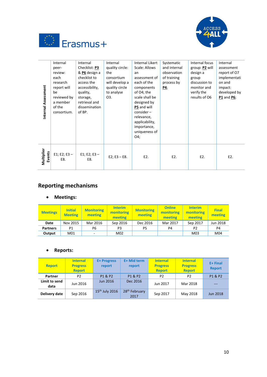



| Internal Assessment  | Internal<br>peer-<br>review:<br>each<br>research<br>report will<br>be<br>reviewed by<br>a member<br>of the<br>consortium. | Internal<br>Checklist: P3<br>& P6 design a<br>checklist to<br>access the<br>accessibility,<br>quality,<br>storage,<br>retrieval and<br>dissemination<br>of BP. | Internal<br>quality circle:<br>the<br>consortium<br>will develop a<br>quality circle<br>to analyse<br>O3. | <b>Internal Likert</b><br>Scale: Allows<br>an<br>assessment of<br>each of the<br>components<br>of O4; the<br>scale shall be<br>designed by<br>P5 and will<br>$consider -$<br>relevance,<br>applicability,<br>importance,<br>uniqueness of<br>O4; | Systematic<br>and internal<br>observation<br>of training<br>process by<br>$\underline{P4}$ | Internal focus<br>group: P2 will<br>design a<br>group<br>discussion to<br>monitor and<br>verify the<br>results of O6 | Internal<br>assessment<br>report of O7<br>implementati<br>on and<br>impact:<br>developed by<br><b>P1</b> and <b>P6</b> ; |
|----------------------|---------------------------------------------------------------------------------------------------------------------------|----------------------------------------------------------------------------------------------------------------------------------------------------------------|-----------------------------------------------------------------------------------------------------------|--------------------------------------------------------------------------------------------------------------------------------------------------------------------------------------------------------------------------------------------------|--------------------------------------------------------------------------------------------|----------------------------------------------------------------------------------------------------------------------|--------------------------------------------------------------------------------------------------------------------------|
| Multiplier<br>Events | $E1; E2; E3 -$<br>E8.                                                                                                     | $E1; E2; E3 -$<br>E8.                                                                                                                                          | $E2$ ; $E3 - E8$ .                                                                                        | E2.                                                                                                                                                                                                                                              | E2.                                                                                        | E2.                                                                                                                  | E2.                                                                                                                      |

# **Reporting mechanisms**

# **Meetings:**

| <b>Meetings</b> | <b>Initial</b><br><b>Meeting</b> | <b>Monitoring</b><br>meeting | <b>Interim</b><br>monitoring<br>meeting | <b>Monitoring</b><br>meeting | <b>Online</b><br>monitoring<br>meeting | <b>Interim</b><br>monitoring<br>meeting | <b>Final</b><br>meeting |
|-----------------|----------------------------------|------------------------------|-----------------------------------------|------------------------------|----------------------------------------|-----------------------------------------|-------------------------|
| Date            | Nov 2015                         | Mar 2016                     | Sep 2016                                | Dec 2016                     | Mar 2017                               | Sep 2017                                | Jun 2018                |
| <b>Partners</b> | Ρ1                               | P6                           | P3                                      | P5                           | P4                                     | P <sub>2</sub>                          | P4                      |
| Output          | M01                              | -                            | M02                                     |                              |                                        | M03                                     | M04                     |

# **Reports:**

| <b>Report</b>         | <b>Internal</b><br><b>Progress</b><br><b>Report</b> | <b>E+ Progress</b><br>report | E+ Mid term<br>report             | <b>Internal</b><br><b>Progress</b><br><b>Report</b> | <b>Internal</b><br><b>Progress</b><br><b>Report</b> | $E+Final$<br><b>Report</b> |
|-----------------------|-----------------------------------------------------|------------------------------|-----------------------------------|-----------------------------------------------------|-----------------------------------------------------|----------------------------|
| Partner               | P <sub>2</sub>                                      | P1 & P2                      | P1 & P2                           | P <sub>2</sub>                                      | P <sub>2</sub>                                      | P1 & P2                    |
| Limit to send<br>data | Jun 2016                                            | <b>Jun 2016</b>              | Dec 2016                          | Jun 2017                                            | Mar 2018                                            | $---$                      |
| Delivery date         | Sep 2016                                            | $15th$ July 2016             | 28 <sup>th</sup> February<br>2017 | Sep 2017                                            | May 2018                                            | <b>Jun 2018</b>            |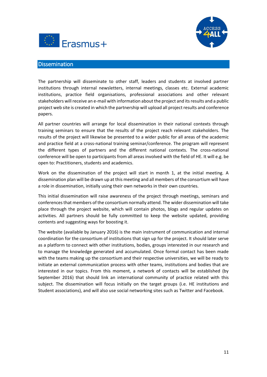



### <span id="page-11-0"></span>**Dissemination**

The partnership will disseminate to other staff, leaders and students at involved partner institutions through internal newsletters, internal meetings, classes etc. External academic institutions, practice field organisations, professional associations and other relevant stakeholders will receive an e-mail with information about the project and its results and a public project web site is created in which the partnership will upload all project results and conference papers.

All partner countries will arrange for local dissemination in their national contexts through training seminars to ensure that the results of the project reach relevant stakeholders. The results of the project will likewise be presented to a wider public for all areas of the academic and practice field at a cross-national training seminar/conference. The program will represent the different types of partners and the different national contexts. The cross-national conference will be open to participants from all areas involved with the field of HE. It will e.g. be open to: Practitioners, students and academics.

Work on the dissemination of the project will start in month 1, at the initial meeting. A dissemination plan will be drawn up at this meeting and all members of the consortium will have a role in dissemination, initially using their own networks in their own countries.

This initial dissemination will raise awareness of the project through meetings, seminars and conferences that members of the consortium normally attend. The wider dissemination will take place through the project website, which will contain photos, blogs and regular updates on activities. All partners should be fully committed to keep the website updated, providing contents and suggesting ways for boosting it.

The website (available by January 2016) is the main instrument of communication and internal coordination for the consortium of institutions that sign up for the project. It should later serve as a platform to connect with other institutions, bodies, groups interested in our research and to manage the knowledge generated and accumulated. Once formal contact has been made with the teams making up the consortium and their respective universities, we will be ready to initiate an external communication process with other teams, institutions and bodies that are interested in our topics. From this moment, a network of contacts will be established (by September 2016) that should link an international community of practice related with this subject. The dissemination will focus initially on the target groups (i.e. HE institutions and Student associations), and will also use social networking sites such as Twitter and Facebook.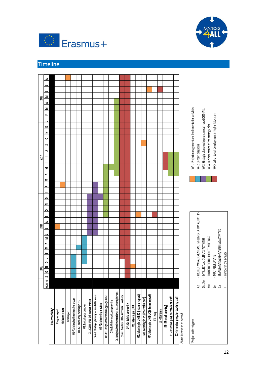



# <span id="page-12-0"></span>Timeline

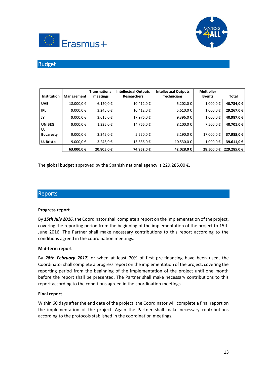



# <span id="page-13-0"></span>Budget

| Institution            | Management | <b>Transnational</b><br>meetings | <b>Intellectual Outputs</b><br><b>Researchers</b> | <b>Intellectual Outputs</b><br><b>Technicians</b> | <b>Multiplier</b><br><b>Events</b> | Total      |
|------------------------|------------|----------------------------------|---------------------------------------------------|---------------------------------------------------|------------------------------------|------------|
| <b>UAB</b>             | 18.000,0€  | $6.120,0 \notin$                 | 10.412.0€                                         | 5.202,0€                                          | 1.000,0€                           | 40.734,0 € |
| <b>IPL</b>             | 9.000,0 €  | 3.245,0€                         | 10.412.0€                                         | 5.610,0 €                                         | 1.000,0€                           | 29.267,0€  |
| JY                     | 9.000,0 €  | 3.615,0€                         | 17.976,0€                                         | 9.396,0 €                                         | 1.000,0€                           | 40.987,0€  |
| <b>UNIBEG</b>          | 9.000,0 €  | 1.335,0€                         | 14.766.0€                                         | 8.100.0€                                          | 7.500,0€                           | 40.701.0€  |
| U.<br><b>Bucaresty</b> | 9.000,0 €  | 3.245,0€                         | 5.550,0€                                          | 3.190,0€                                          | 17.000,0€                          | 37.985,0€  |
| <b>U.</b> Bristol      | 9.000,0 €  | 3.245,0€                         | 15.836,0€                                         | 10.530,0€                                         | 1.000,0€                           | 39.611,0€  |
|                        | 63.000,0€  | 20.805.0€                        | 74.952.0€                                         | 42.028.0€                                         | 28.500.0€                          | 229.285.0€ |

The global budget approved by the Spanish national agency is 229.285,00  $\epsilon$ .

## <span id="page-13-1"></span>Reports

#### **Progress report**

By *15th July 2016*, the Coordinator shall complete a report on the implementation of the project, covering the reporting period from the beginning of the implementation of the project to 15th June 2016. The Partner shall make necessary contributions to this report according to the conditions agreed in the coordination meetings.

#### **Mid-term report**

By *28th February 2017*, or when at least 70% of first pre-financing have been used, the Coordinator shall complete a progress report on the implementation of the project, covering the reporting period from the beginning of the implementation of the project until one month before the report shall be presented. The Partner shall make necessary contributions to this report according to the conditions agreed in the coordination meetings.

#### **Final report**

Within 60 days after the end date of the project, the Coordinator will complete a final report on the implementation of the project. Again the Partner shall make necessary contributions according to the protocols stablished in the coordination meetings.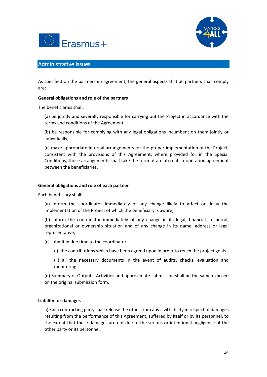



## <span id="page-14-0"></span>Administrative issues

As specified on the partnership agreement, the general aspects that all partners shall comply are:

#### **General obligations and role of the partners**

The beneficiaries shall:

(a) be jointly and severally responsible for carrying out the Project in accordance with the terms and conditions of the Agreement;

(b) be responsible for complying with any legal obligations incumbent on them jointly or individually;

(c) make appropriate internal arrangements for the proper implementation of the Project, consistent with the provisions of this Agreement; where provided for in the Special Conditions, those arrangements shall take the form of an internal co-operation agreement between the beneficiaries.

#### **General obligations and role of each partner**

Each beneficiary shall:

(a) inform the coordinator immediately of any change likely to affect or delay the implementation of the Project of which the beneficiary is aware;

(b) inform the coordinator immediately of any change in its legal, financial, technical, organizational or ownership situation and of any change in its name, address or legal representative;

(c) submit in due time to the coordinator:

(i) the contributions which have been agreed upon in order to reach the project goals.

(ii) all the necessary documents in the event of audits, checks, evaluation and monitoring.

(d) Summary of Outputs, Activities and approximate submission shall be the same exposed on the original submission form.

#### **Liability for damages**

a) Each contracting party shall release the other from any civil liability in respect of damages resulting from the performance of this Agreement, suffered by itself or by its personnel, to the extent that these damages are not due to the serious or intentional negligence of the other party or its personnel.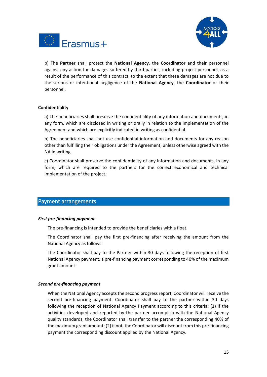



b) The **Partner** shall protect the **National Agency**, the **Coordinator** and their personnel against any action for damages suffered by third parties, including project personnel, as a result of the performance of this contract, to the extent that these damages are not due to the serious or intentional negligence of the **National Agency**, the **Coordinator** or their personnel.

#### **Confidentiality**

a) The beneficiaries shall preserve the confidentiality of any information and documents, in any form, which are disclosed in writing or orally in relation to the implementation of the Agreement and which are explicitly indicated in writing as confidential.

b) The beneficiaries shall not use confidential information and documents for any reason other than fulfilling their obligations under the Agreement, unless otherwise agreed with the NA in writing.

c) Coordinator shall preserve the confidentiality of any information and documents, in any form, which are required to the partners for the correct economical and technical implementation of the project.

## <span id="page-15-0"></span>Payment arrangements

#### *First pre-financing payment*

The pre-financing is intended to provide the beneficiaries with a float.

The Coordinator shall pay the first pre-financing after receiving the amount from the National Agency as follows:

The Coordinator shall pay to the Partner within 30 days following the reception of first National Agency payment, a pre-financing payment corresponding to 40% of the maximum grant amount.

#### *Second pre-financing payment*

When the National Agency accepts the second progress report, Coordinator will receive the second pre-financing payment. Coordinator shall pay to the partner within 30 days following the reception of National Agency Payment according to this criteria: (1) if the activities developed and reported by the partner accomplish with the National Agency quality standards, the Coordinator shall transfer to the partner the corresponding 40% of the maximum grant amount; (2) if not, the Coordinator will discount from this pre-financing payment the corresponding discount applied by the National Agency.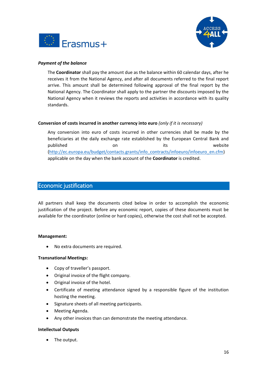



#### *Payment of the balance*

The **Coordinator** shall pay the amount due as the balance within 60 calendar days, after he receives it from the National Agency, and after all documents referred to the final report arrive. This amount shall be determined following approval of the final report by the National Agency. The Coordinator shall apply to the partner the discounts imposed by the National Agency when it reviews the reports and activities in accordance with its quality standards.

#### **Conversion of costs incurred in another currency into euro** *(only if it is necessary)*

Any conversion into euro of costs incurred in other currencies shall be made by the beneficiaries at the daily exchange rate established by the European Central Bank and published on on its website [\(http://ec.europa.eu/budget/contacts.grants/info\\_contracts/infoeuro/infoeuro\\_en.cfm\)](http://ec.europa.eu/budget/contacts.grants/info_contracts/infoeuro/infoeuro_en.cfm) applicable on the day when the bank account of the **Coordinator** is credited.

## <span id="page-16-0"></span>Economic justification

All partners shall keep the documents cited below in order to accomplish the economic justification of the project. Before any economic report, copies of these documents must be available for the coordinator (online or hard copies), otherwise the cost shall not be accepted.

#### **Management:**

No extra documents are required.

#### **Transnational Meetings:**

- Copy of traveller's passport.
- Original invoice of the flight company.
- Original invoice of the hotel.
- Certificate of meeting attendance signed by a responsible figure of the institution hosting the meeting.
- Signature sheets of all meeting participants.
- Meeting Agenda.
- Any other invoices than can demonstrate the meeting attendance.

#### **Intellectual Outputs**

The output.